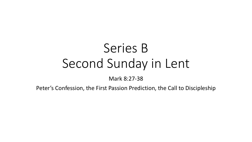# Series B Second Sunday in Lent

Mark 8:27-38

Peter's Confession, the First Passion Prediction, the Call to Discipleship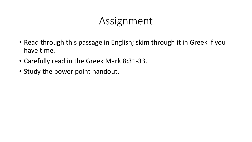### Assignment

- Read through this passage in English; skim through it in Greek if you have time.
- Carefully read in the Greek Mark 8:31-33.
- Study the power point handout.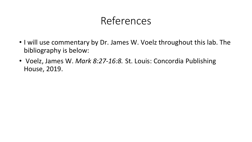# References

- I will use commentary by Dr. James W. Voelz throughout this lab. The bibliography is below:
- Voelz, James W. *Mark 8:27-16:8.* St. Louis: Concordia Publishing House, 2019.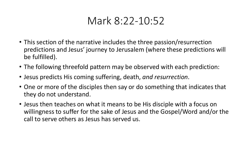### Mark 8:22-10:52

- This section of the narrative includes the three passion/resurrection predictions and Jesus' journey to Jerusalem (where these predictions will be fulfilled).
- The following threefold pattern may be observed with each prediction:
- Jesus predicts His coming suffering, death, *and resurrection*.
- One or more of the disciples then say or do something that indicates that they do not understand.
- Jesus then teaches on what it means to be His disciple with a focus on willingness to suffer for the sake of Jesus and the Gospel/Word and/or the call to serve others as Jesus has served us.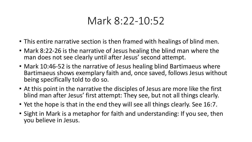# Mark 8:22-10:52

- This entire narrative section is then framed with healings of blind men.
- Mark 8:22-26 is the narrative of Jesus healing the blind man where the man does not see clearly until after Jesus' second attempt.
- Mark 10:46-52 is the narrative of Jesus healing blind Bartimaeus where Bartimaeus shows exemplary faith and, once saved, follows Jesus without being specifically told to do so.
- At this point in the narrative the disciples of Jesus are more like the first blind man after Jesus' first attempt: They see, but not all things clearly.
- Yet the hope is that in the end they will see all things clearly. See 16:7.
- Sight in Mark is a metaphor for faith and understanding: If you see, then you believe in Jesus.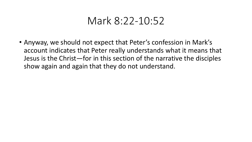#### Mark 8:22-10:52

• Anyway, we should not expect that Peter's confession in Mark's account indicates that Peter really understands what it means that Jesus is the Christ—for in this section of the narrative the disciples show again and again that they do not understand.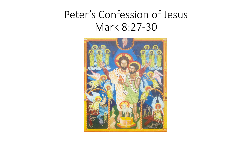# Peter's Confession of Jesus Mark 8:27-30

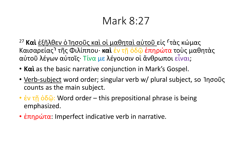- <sup>27</sup> Και έξῆλθεν ὁ Ἰησοῦς καὶ οἱ μαθηταὶ αὐτοῦ εἰς <sup>Γ</sup>τὰς κώμας Καισαρείας⸃ τῆς Φιλίππου· **καὶ** ἐν τῇ ὁδῷ ἐπηρώτα τοὺς μαθητὰς αὐτοῦ λέγων αὐτοῖς· Τίνα με λέγουσιν οἱ ἄνθρωποι εἶναι;
- **Καὶ** as the basic narrative conjunction in Mark's Gospel.
- Verb-subject word order; singular verb w/ plural subject, so Ίησοῦς counts as the main subject.
- έν τῆ ὁδῷ: Word order this prepositional phrase is being emphasized.
- *επηρώτα*: Imperfect indicative verb in narrative.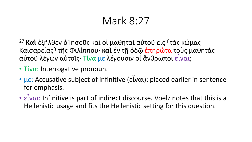<sup>27</sup> Και έξῆλθεν ὁ Ἰησοῦς καὶ οἱ μαθηταὶ αὐτοῦ εἰς <sup>Γ</sup>τὰς κώμας Καισαρείας⸃ τῆς Φιλίππου· **καὶ** ἐν τῇ ὁδῷ ἐπηρώτα τοὺς μαθητὰς αὐτοῦ λέγων αὐτοῖς· Τίνα με λέγουσιν οἱ ἄνθρωποι εἶναι;

- Τίνα: Interrogative pronoun.
- $\mu \varepsilon$ : Accusative subject of infinitive (εἶναι); placed earlier in sentence for emphasis.
- εἶναι: Infinitive is part of indirect discourse. Voelz notes that this is a Hellenistic usage and fits the Hellenistic setting for this question.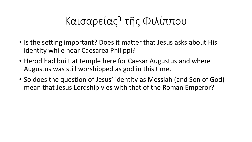# Καισαρείας⸃ τῆς Φιλίππου

- Is the setting important? Does it matter that Jesus asks about His identity while near Caesarea Philippi?
- Herod had built at temple here for Caesar Augustus and where Augustus was still worshipped as god in this time.
- So does the question of Jesus' identity as Messiah (and Son of God) mean that Jesus Lordship vies with that of the Roman Emperor?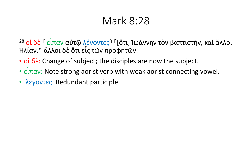<sup>28</sup> οί δε <sup>Γ</sup> εἶπαν αὐτῷ λέγοντες<sup>ι Γ</sup>[ὅτι] Ἰωάννην τὸν βαπτιστήν, καὶ ἄλλοι Ἠλίαν,\* ἄλλοι δὲ ὅτι εἷς τῶν προφητῶν.

- $o$   $\delta \dot{\epsilon}$ : Change of subject; the disciples are now the subject.
- εἶπαν: Note strong aorist verb with weak aorist connecting vowel.
- λέγοντες: Redundant participle.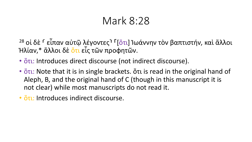<sup>28</sup> οἱ δὲ <sup>Γ</sup> εἶπαν αὐτῷ λέγοντες<sup>ι Γ</sup>[ὅτι] Ἰωάννην τὸν βαπτιστήν, καὶ ἄλλοι Ἠλίαν,\* ἄλλοι δὲ ὅτι εἷς τῶν προφητῶν.

- <u>ὅτι</u>: Introduces direct discourse (not indirect discourse).
- ότι: Note that it is in single brackets. ότι is read in the original hand of Aleph, B, and the original hand of C (though in this manuscript it is not clear) while most manuscripts do not read it.
- <u>ὅτι:</u> Introduces indirect discourse.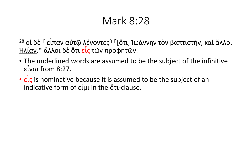<sup>28</sup> οἱ δὲ <sup>r</sup> εἶπαν αὐτῷ λέγοντες<sup>η Γ</sup>[ὅτι] <u>Ἰωάννην τὸν βαπτιστήν</u>, καὶ ἄλλοι Ήλίαν,\* ἄλλοι δὲ ὅτι εἶς τῶν προφητῶν.

- The underlined words are assumed to be the subject of the infinitive εἶναι from 8:27.
- εἶς is nominative because it is assumed to be the subject of an indicative form of εἰμι in the ὅτι-clause.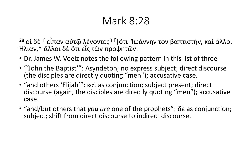<sup>28</sup> οἱ δὲ <sup>r</sup> εἶπαν αὐτῷ λέγοντες<sup>ι Γ</sup>[ὅτι] Ἰωάννην τὸν βαπτιστήν, καὶ ἄλλοι<br>Ήλίαν,\* ἄλλοι δὲ ὅτι εἶς τῶν προφητῶν.

- Dr. James W. Voelz notes the following pattern in this list of three
- "'John the Baptist'": Asyndeton; no express subject; direct discourse (the disciples are directly quoting "men"); accusative case.
- "and others 'Elijah'": καὶ as conjunction; subject present; direct discourse (again, the disciples are directly quoting "men"); accusative case.
- "and/but others that *you are* one of the prophets": δὲ as conjunction; subject; shift from direct discourse to indirect discourse.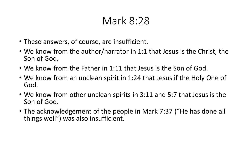- These answers, of course, are insufficient.
- We know from the author/narrator in 1:1 that Jesus is the Christ, the Son of God.
- We know from the Father in 1:11 that Jesus is the Son of God.
- We know from an unclean spirit in 1:24 that Jesus if the Holy One of God.
- We know from other unclean spirits in 3:11 and 5:7 that Jesus is the Son of God.
- The acknowledgement of the people in Mark 7:37 ("He has done all things well") was also insufficient.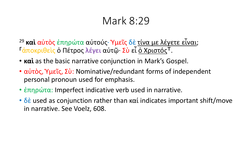- <sup>29</sup> **καὶ** αὐτὸς ἐπηρώτα αὐτούς· Ὑμεῖς δὲ τίνα με λέγετε εἶναι; <sup>Γ</sup>άποκριθεὶς ὁ Πέτρος λέγει αὐτῷ· Σὺ εἶ <u>ὁ Χριστός</u>Τ.
- **καὶ** as the basic narrative conjunction in Mark's Gospel.
- αὐτὸς, Υμεῖς, Σὺ: Nominative/redundant forms of independent personal pronoun used for emphasis.
- *επηρώτα:* Imperfect indicative verb used in narrative.
- $\cdot$  δε used as conjunction rather than καί indicates important shift/move in narrative. See Voelz, 608.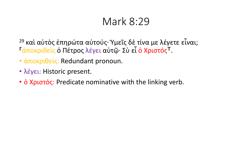<sup>29</sup> καὶ αὐτὸς ἐπηρώτα αὐτούς· Ύμεῖς δὲ τίνα με λέγετε εἶναι; Γάποκριθείς ο Πέτρος λέγει αὐτῷ· Σὺ εἶ ο Χριστός<sup>Τ</sup>.

- αποκριθείς: Redundant pronoun.
- λέγει: Historic present.
- **ο Χριστός:** Predicate nominative with the linking verb.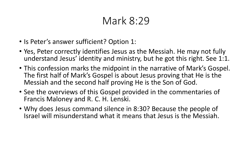- Is Peter's answer sufficient? Option 1:
- Yes, Peter correctly identifies Jesus as the Messiah. He may not fully understand Jesus' identity and ministry, but he got this right. See 1:1.
- This confession marks the midpoint in the narrative of Mark's Gospel. The first half of Mark's Gospel is about Jesus proving that He is the Messiah and the second half proving He is the Son of God.
- See the overviews of this Gospel provided in the commentaries of Francis Maloney and R. C. H. Lenski.
- Why does Jesus command silence in 8:30? Because the people of Israel will misunderstand what it means that Jesus is the Messiah.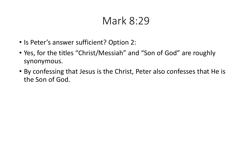- Is Peter's answer sufficient? Option 2:
- Yes, for the titles "Christ/Messiah" and "Son of God" are roughly synonymous.
- By confessing that Jesus is the Christ, Peter also confesses that He is the Son of God.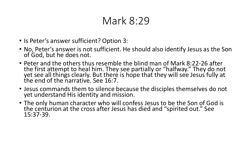- Is Peter's answer sufficient? Option 3:
- No, Peter's answer is not sufficient. He should also identify Jesus as the Son of God, but he does not.
- Peter and the others thus resemble the blind man of Mark 8:22-26 after the first attempt to heal him. They see partially or "halfway." They do not yet see all things clearly. But there is hope that they will see Jesus fully at the end of the narrative. See 16:7.
- Jesus commands them to silence because the disciples themselves do not yet understand His identity and mission.
- The only human character who will confess Jesus to be the Son of God is the centurion at the cross after Jesus has died and "spirited out." See 15:37-39.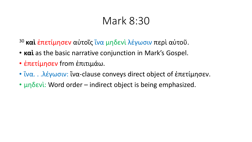- <sup>30</sup> **καὶ** ἐπετίμησεν αὐτοῖς ἵνα μηδενὶ λέγωσιν περὶ αὐτοῦ.
- **καὶ** as the basic narrative conjunction in Mark's Gospel.
- ἐπετίμησεν from ἐπιτιμάω.
- ἵνα. . .λέγωσιν: ἵνα-clause conveys direct object of ἐπετίμησεν.
- μηδενί: Word order indirect object is being emphasized.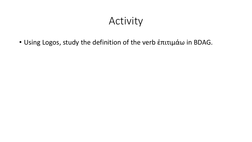# Activity

• Using Logos, study the definition of the verb ἐπιτιμάω in BDAG.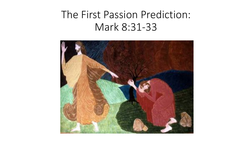# The First Passion Prediction: Mark 8:31-33

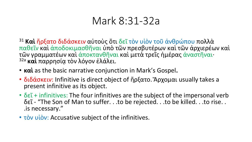- <sup>31</sup> **Καὶ** ἤρξατο διδάσκειν αὐτοὺς ὅτι δεῖ τὸν υἱὸν τοῦ ἀνθρώπου πολλὰ παθεῖν καὶ ἀποδοκιμασθῆναι ὑπὸ τῶν πρεσβυτέρων καὶ τῶν ἀρχιερέων καὶ τῶν γραμματέων καὶ ἀποκτανθῆναι καὶ μετὰ τρεῖς ἡμέρας ἀναστῆναι· <sup>32a</sup> και παρρησία τον λόγον έλάλει.
- **καὶ** as the basic narrative conjunction in Mark's Gospel**.**
- διδάσκειν: Infinitive is direct object of ἤρξατο. Άρχομαι usually takes a present infinitive as its object.
- $\delta \epsilon \tilde{\iota}$  + infinitives: The four infinitives are the subject of the impersonal verb δεῖ - "The Son of Man to suffer. . .to be rejected. . .to be killed. . .to rise. . .is necessary."
- τὸν υἱὸν: Accusative subject of the infinitives.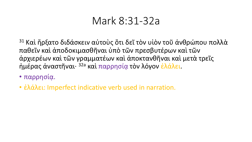<sup>31</sup> Καὶ ἤρξατο διδάσκειν αὐτοὺς ὅτι δεῖ τὸν υἱὸν τοῦ ἀνθρώπου πολλὰ παθεῖν καὶ ἀποδοκιμασθῆναι ὑπὸ τῶν πρεσβυτέρων καὶ τῶν ἀρχιερέων καὶ τῶν γραμματέων καὶ ἀποκτανθῆναι καὶ μετὰ τρεῖς ήμέρας ἀναστῆναι· <sup>32a</sup> καὶ παρρησία τὸν λόγον ἐλάλει.

- παρρησία.
- έλάλει: Imperfect indicative verb used in narration.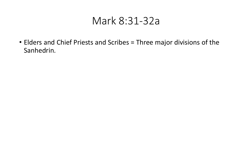• Elders and Chief Priests and Scribes = Three major divisions of the Sanhedrin.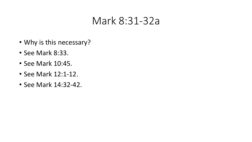- Why is this necessary?
- See Mark 8:33.
- See Mark 10:45.
- See Mark 12:1-12.
- See Mark 14:32-42.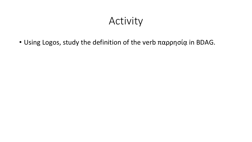# Activity

• Using Logos, study the definition of the verb παρρησία in BDAG.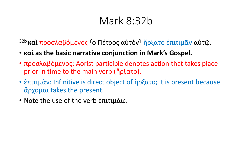# Mark 8:32b

<sup>32b</sup> καὶ προσλαβόμενος <sup>Γ</sup>ὸ Πέτρος αὐτὸν<sup>ι</sup> ἤρξατο ἐπιτιμᾶν αὐτῷ.

- **καὶ as the basic narrative conjunction in Mark's Gospel.**
- προσλαβόμενος: Aorist participle denotes action that takes place prior in time to the main verb (ἤρξατο).
- *επιτιμαν*: Infinitive is direct object of ήρξατο; it is present because ἄρχομαι takes the present.
- Note the use of the verb ἐπιτιμάω.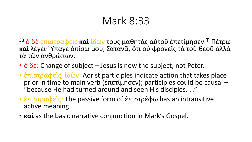- <sup>33</sup> ο δε έπιστραφείς **καὶ** ἰδὼν τοὺς μαθητὰς αὐτοῦ ἐπετίμησεν <sup>Τ</sup> Πέτρω **καὶ** λέγει· Ὕπαγε ὀπίσω μου, Σατανᾶ, ὅτι οὐ φρονεῖς τὰ τοῦ θεοῦ ἀλλὰ τὰ τῶν ἀνθρώπων.
- $\dot{\rm o}$   $\delta \dot{\rm \hat{\epsilon}}$ : Change of subject Jesus is now the subject, not Peter.
- *επιστραφείς, ιδών:* Aorist participles indicate action that takes place prior in time to main verb (ἐπετίμησεν); participles could be causal –<br>"because He had turned around and seen His disciples. . ."
- *επιστραφείς:* The passive form of *επιστρέφω* has an intransitive active meaning.
- **καὶ** as the basic narrative conjunction in Mark's Gospel.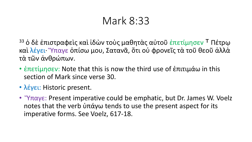<sup>33</sup> ο δε έπιστραφείς καὶ ἰδὼν τοὺς μαθητὰς αὐτοῦ ἐπετίμησεν <sup>Τ</sup> Πέτρω καὶ λέγει· Ὕπαγε ὀπίσω μου, Σατανᾶ, ὅτι οὐ φρονεῖς τὰ τοῦ θεοῦ ἀλλὰ τὰ τῶν ἀνθρώπων.

- $\cdot$  έπετίμησεν: Note that this is now the third use of έπιτιμάω in this section of Mark since verse 30.
- λέγει: Historic present.
- "Υπαγε: Present imperative could be emphatic, but Dr. James W. Voelz notes that the verb  $\dot{\nu}$ πάγω tends to use the present aspect for its imperative forms. See Voelz, 617-18.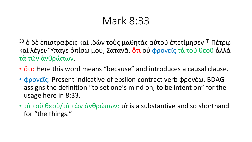<sup>33</sup> ο δε έπιστραφείς καὶ ἰδὼν τοὺς μαθητὰς αὐτοῦ ἐπετίμησεν <sup>Τ</sup> Πέτρω καὶ λέγει· Ὕπαγε ὀπίσω μου, Σατανᾶ, ὅτι οὐ φρονεῖς τὰ τοῦ θεοῦ ἀλλὰ τὰ τῶν ἀνθρώπων.

- <u>ὅτι</u>: Here this word means "because" and introduces a causal clause.
- φρονεῖς: Present indicative of epsilon contract verb φρονέω. BDAG assigns the definition "to set one's mind on, to be intent on" for the usage here in 8:33.
- τὰ τοῦ θεοῦ/τὰ τῶν ἀνθρώπων: τὰ is a substantive and so shorthand for "the things."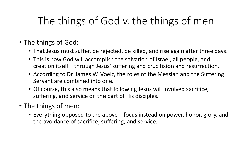# The things of God v. the things of men

- The things of God:
	- That Jesus must suffer, be rejected, be killed, and rise again after three days.
	- This is how God will accomplish the salvation of Israel, all people, and creation itself – through Jesus' suffering and crucifixion and resurrection.
	- According to Dr. James W. Voelz, the roles of the Messiah and the Suffering Servant are combined into one.
	- Of course, this also means that following Jesus will involved sacrifice, suffering, and service on the part of His disciples.
- The things of men:
	- Everything opposed to the above focus instead on power, honor, glory, and the avoidance of sacrifice, suffering, and service.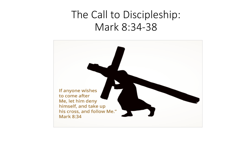# The Call to Discipleship: Mark 8:34-38

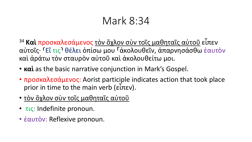- <sup>34</sup> **Καὶ** προσκαλεσάμενος τὸν ὄχλον σὺν τοῖς μαθηταῖς αὐτοῦ εἶπεν αὐτοῖς· ⸂Εἴ τις⸃ θέλει ὀπίσω μου ⸀ἀκολουθεῖν, ἀπαρνησάσθω ἑαυτὸν καὶ ἀράτω τὸν σταυρὸν αὐτοῦ καὶ ἀκολουθείτω μοι.
- **καὶ** as the basic narrative conjunction in Mark's Gospel.
- προσκαλεσάμενος: Aorist participle indicates action that took place prior in time to the main verb (εἶπεν).
- τὸν ὄχλον σὺν τοῖς μαθηταῖς αὐτοῦ
- τις: Indefinite pronoun.
- έαυτόν: Reflexive pronoun.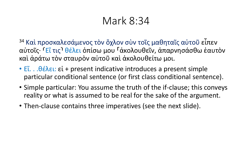- <sup>34</sup> Καὶ προσκαλεσάμενος τὸν ὄχλον σὺν τοῖς μαθηταῖς αὐτοῦ εἶπεν αὐτοῖς· <sup>Γ</sup>Εἴ τις<sup>ι</sup> θέλει ὀπίσω μου <sup>Γ</sup>ἀκολουθεῖν, ἀπαρνησάσθω ἑαυτὸν καὶ ἀράτω τὸν σταυρὸν αὐτοῦ καὶ ἀκολουθείτω μοι.
- $\cdot$  E''...  $\theta$ έλει: εί + present indicative introduces a present simple particular conditional sentence (or first class conditional sentence).
- Simple particular: You assume the truth of the if-clause; this conveys reality or what is assumed to be real for the sake of the argument.
- Then-clause contains three imperatives (see the next slide).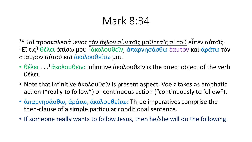<sup>34</sup> Καὶ προσκαλεσάμενος τὸν ὄχλον σὺν τοῖς μαθηταῖς αὐτοῦ εἶπεν αὐτοῖς· <sup>Γ</sup>Εἴ τις<sup>ι</sup> θέλει ὀπίσω μου <sup>Γ</sup>άκολουθεῖν, ἀπαρνησάσθω ἑαυτὸν καὶ ἀράτω τὸν σταυρὸν αὐτοῦ καὶ ἀκολουθείτω μοι.

- θέλει... Γάκολουθεῖν: Infinitive ἀκολουθεῖν is the direct object of the verb θέλει.
- Note that infinitive ακολουθεῖν is present aspect. Voelz takes as emphatic action ("really to follow") or continuous action ("continuously to follow").
- ἀπαρνησάσθω, ἀράτω, ἀκολουθείτω: Three imperatives comprise the then-clause of a simple particular conditional sentence.
- If someone really wants to follow Jesus, then he/she will do the following.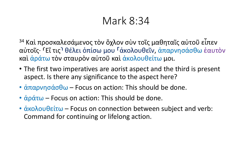- <sup>34</sup> Καὶ προσκαλεσάμενος τὸν ὄχλον σὺν τοῖς μαθηταῖς αὐτοῦ εἶπεν αὐτοῖς· ⸂Εἴ τις⸃ θέλει ὀπίσω μου ⸀ἀκολουθεῖν, ἀπαρνησάσθω ἑαυτὸν καὶ ἀράτω τὸν σταυρὸν αὐτοῦ καὶ ἀκολουθείτω μοι.
- The first two imperatives are aorist aspect and the third is present aspect. Is there any significance to the aspect here?
- $\cdot$  άπαρνησάσθω Focus on action: This should be done.
- $\dot{\alpha}$  άράτω Focus on action: This should be done.
- $\cdot$  άκολουθείτω Focus on connection between subject and verb: Command for continuing or lifelong action.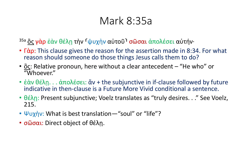# Mark 8:35a

<sup>35a</sup> ὃς γὰρ ἐὰν θέλῃ τὴν <sup>Γ</sup>ψυχὴν αὐτοῦ σῶσαι ἀπολέσει αὐτήν·

- Γάρ: This clause gives the reason for the assertion made in 8:34. For what reason should someone do those things Jesus calls them to do?
- ὃς: Relative pronoun, here without a clear antecedent "He who" or "Whoever."
- ἐὰν θέλη... ἀπολέσει: ἄν + the subjunctive in if-clause followed by future indicative in then-clause is a Future More Vivid conditional a sentence.
- θέλη: Present subjunctive; Voelz translates as "truly desires..." See Voelz, 215.
- Ψυχὴν: What is best translation—"soul" or "life"?
- σῶσαι: Direct object of θέλη.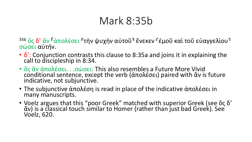# Mark 8:35b

<sup>35b</sup> ὃς δ' ἂν <sup>Γ</sup>άπολέσει <sup>Γ</sup>τὴν ψυχὴν αὐτοῦ<sup>٦</sup> ἕνεκεν <sup>Γ</sup>έμοῦ καὶ τοῦ εὐαγγελίου<sup>1</sup> σώσει αὐτήν.

- δ': Conjunction contrasts this clause to 8:35a and joins it in explaining the call to discipleship in 8:34.
- ὃς ἂν ἀπολέσει... σώσει: This also resembles a Future More Vivid conditional sentence, except the verb (ἀπολέσει) paired with ἂν is future indicative, not subjunctive.
- The subjunctive άπολέση is read in place of the indicative άπολέσει in many manuscripts.
- Voelz argues that this "poor Greek" matched with superior Greek (see ὃς δ' ἀν) is a classical touch similar to Homer (rather than just bad Greek). See Voelz, 620.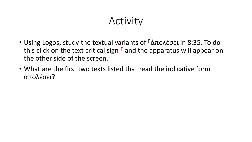# Activity

- Using Logos, study the textual variants of <sup>Γ</sup>άπολέσει in 8:35. To do this click on the text critical sign  $\Gamma$  and the apparatus will appear on the other side of the screen.
- What are the first two texts listed that read the indicative form ἀπολέσει?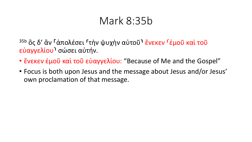# Mark 8:35b

<sup>35b</sup> ὃς δ' ἂν <sup>Γ</sup>άπολέσει <sup>Γ</sup>τὴν ψυχὴν αὐτοῦ<sup>ι</sup> ἕνεκεν <sup>Γ</sup>έμοῦ καὶ τοῦ εὐαγγελίου⸃ σώσει αὐτήν.

- ἕνεκεν έμοῦ καὶ τοῦ εὐαγγελίου: "Because of Me and the Gospel"
- Focus is both upon Jesus and the message about Jesus and/or Jesus' own proclamation of that message.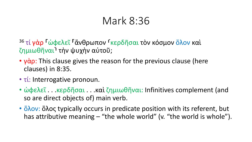<sup>36</sup> τί γὰρ <sup>Γ</sup>ώφελεῖ <sup>Γ</sup>ἄνθρωπον <sup>Γ</sup>κερδῆσαι τὸν κόσμον ὅλον καὶ ζημιωθῆναι⸃ τὴν ψυχὴν αὐτοῦ;

- $y\dot{\alpha}$  p: This clause gives the reason for the previous clause (here clauses) in 8:35.
- τί: Interrogative pronoun.
- ώφελεῖ...κερδῆσαι...καὶ ζημιωθῆναι: Infinitives complement (and so are direct objects of) main verb.
- όλον: όλος typically occurs in predicate position with its referent, but has attributive meaning – "the whole world" (v. "the world is whole").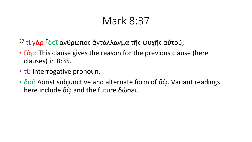- 37 τί γάρ <sup>Γ</sup>δοῖ ἄνθρωπος ἀντάλλαγμα τῆς ψυχῆς αὐτοῦ;
- $\cdot$   $\Gamma$ άρ: This clause gives the reason for the previous clause (here clauses) in 8:35.
- τί: Interrogative pronoun.
- δοι: Aorist subjunctive and alternate form of δῷ. Variant readings here include δῷ and the future δώσει.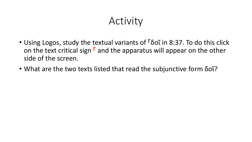# Activity

- Using Logos, study the textual variants of <sup>F</sup>δοῖ in 8:37. To do this click on the text critical sign  $\Gamma$  and the apparatus will appear on the other side of the screen.
- What are the two texts listed that read the subjunctive form δοΐ?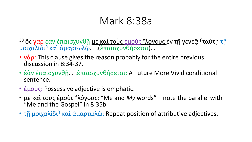# Mark 8:38a

- <sup>38</sup> ὃς γὰρ ἐὰν ἐπαισχυνθῆ με καὶ τοὺς ἐμοὺς °λόγους ἐν τῆ γενεᾶ <sup>Γ</sup>ταύτη τῆ μοιχαλίδι⸃ καὶ ἁμαρτωλῷ. . .(ἐπαισχυνθήσεται). . .
- $\cdot$   $\gamma$ άρ: This clause gives the reason probably for the entire previous discussion in 8:34-37.
- έὰν ἐπαισχυνθῆ... ἐπαισχυνθήσεται: A Future More Vivid conditional sentence.
- έμούς: Possessive adjective is emphatic.
- με καὶ τοὺς ἐμοὺς °λόγους: "Me and *My* words" note the parallel with "Me and the Gospel" in 8:35b.
- τη μοιχαλίδι<sup>η</sup> καὶ ἀμαρτωλῷ: Repeat position of attributive adjectives.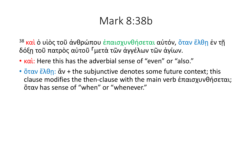### Mark 8:38b

- <sup>38</sup> και ο υιος τοῦ ἀνθρώπου ἐπαισχυνθήσεται αὐτόν, ὅταν ἔλθη ἐν τῆ δόξῃ τοῦ πατρὸς αὐτοῦ ⸀μετὰ τῶν ἀγγέλων τῶν ἁγίων.
- καὶ: Here this has the adverbial sense of "even" or "also."
- όταν ἔλθη: ἄν + the subjunctive denotes some future context; this clause modifies the then-clause with the main verb ἐπαισχυνθήσεται; ὅταν has sense of "when" or "whenever."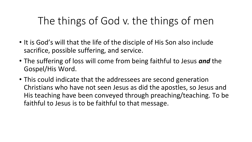# The things of God v. the things of men

- It is God's will that the life of the disciple of His Son also include sacrifice, possible suffering, and service.
- The suffering of loss will come from being faithful to Jesus *and* the Gospel/His Word.
- This could indicate that the addressees are second generation Christians who have not seen Jesus as did the apostles, so Jesus and His teaching have been conveyed through preaching/teaching. To be faithful to Jesus is to be faithful to that message.